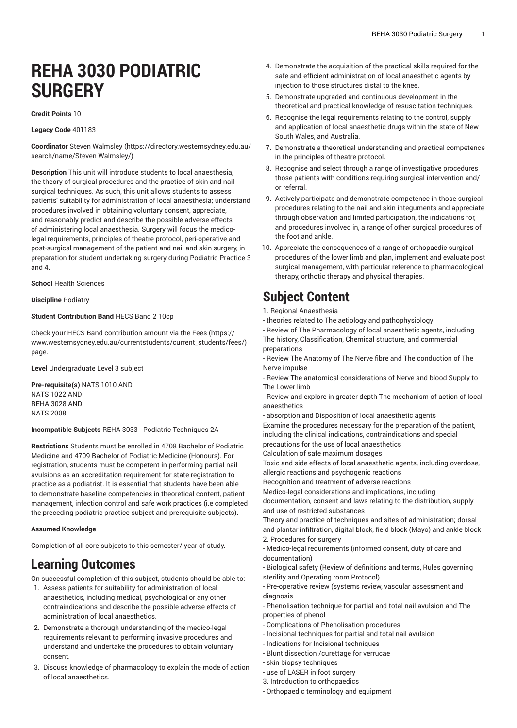# **REHA 3030 PODIATRIC SURGERY**

#### **Credit Points** 10

#### **Legacy Code** 401183

**Coordinator** Steven [Walmsley \(https://directory.westernsydney.edu.au/](https://directory.westernsydney.edu.au/search/name/Steven Walmsley/) [search/name/Steven](https://directory.westernsydney.edu.au/search/name/Steven Walmsley/) Walmsley/)

**Description** This unit will introduce students to local anaesthesia, the theory of surgical procedures and the practice of skin and nail surgical techniques. As such, this unit allows students to assess patients' suitability for administration of local anaesthesia; understand procedures involved in obtaining voluntary consent, appreciate, and reasonably predict and describe the possible adverse effects of administering local anaesthesia. Surgery will focus the medicolegal requirements, principles of theatre protocol, peri-operative and post-surgical management of the patient and nail and skin surgery, in preparation for student undertaking surgery during Podiatric Practice 3 and 4.

### **School** Health Sciences

### **Discipline** Podiatry

### **Student Contribution Band** HECS Band 2 10cp

Check your HECS Band contribution amount via the [Fees \(https://](https://www.westernsydney.edu.au/currentstudents/current_students/fees/) [www.westernsydney.edu.au/currentstudents/current\\_students/fees/\)](https://www.westernsydney.edu.au/currentstudents/current_students/fees/) page.

**Level** Undergraduate Level 3 subject

**Pre-requisite(s)** [NATS](/search/?P=NATS%201010) 1010 AND [NATS](/search/?P=NATS%201022) 1022 AND [REHA](/search/?P=REHA%203028) 3028 AND [NATS](/search/?P=NATS%202008) 2008

**Incompatible Subjects** REHA 3033 - Podiatric Techniques 2A

**Restrictions** Students must be enrolled in 4708 Bachelor of Podiatric Medicine and 4709 Bachelor of Podiatric Medicine (Honours). For registration, students must be competent in performing partial nail avulsions as an accreditation requirement for state registration to practice as a podiatrist. It is essential that students have been able to demonstrate baseline competencies in theoretical content, patient management, infection control and safe work practices (i.e completed the preceding podiatric practice subject and prerequisite subjects).

#### **Assumed Knowledge**

Completion of all core subjects to this semester/ year of study.

## **Learning Outcomes**

On successful completion of this subject, students should be able to:

- 1. Assess patients for suitability for administration of local anaesthetics, including medical, psychological or any other contraindications and describe the possible adverse effects of administration of local anaesthetics.
- 2. Demonstrate a thorough understanding of the medico-legal requirements relevant to performing invasive procedures and understand and undertake the procedures to obtain voluntary consent.
- 3. Discuss knowledge of pharmacology to explain the mode of action of local anaesthetics.
- 4. Demonstrate the acquisition of the practical skills required for the safe and efficient administration of local anaesthetic agents by injection to those structures distal to the knee.
- 5. Demonstrate upgraded and continuous development in the theoretical and practical knowledge of resuscitation techniques.
- 6. Recognise the legal requirements relating to the control, supply and application of local anaesthetic drugs within the state of New South Wales, and Australia.
- 7. Demonstrate a theoretical understanding and practical competence in the principles of theatre protocol.
- 8. Recognise and select through a range of investigative procedures those patients with conditions requiring surgical intervention and/ or referral.
- 9. Actively participate and demonstrate competence in those surgical procedures relating to the nail and skin integuments and appreciate through observation and limited participation, the indications for, and procedures involved in, a range of other surgical procedures of the foot and ankle.
- 10. Appreciate the consequences of a range of orthopaedic surgical procedures of the lower limb and plan, implement and evaluate post surgical management, with particular reference to pharmacological therapy, orthotic therapy and physical therapies.

## **Subject Content**

- 1. Regional Anaesthesia
- theories related to The aetiology and pathophysiology
- Review of The Pharmacology of local anaesthetic agents, including The history, Classification, Chemical structure, and commercial preparations
- Review The Anatomy of The Nerve fibre and The conduction of The Nerve impulse

- Review The anatomical considerations of Nerve and blood Supply to The Lower limb

- Review and explore in greater depth The mechanism of action of local anaesthetics

- absorption and Disposition of local anaesthetic agents Examine the procedures necessary for the preparation of the patient, including the clinical indications, contraindications and special

precautions for the use of local anaesthetics

Calculation of safe maximum dosages

Toxic and side effects of local anaesthetic agents, including overdose, allergic reactions and psychogenic reactions

Recognition and treatment of adverse reactions

Medico-legal considerations and implications, including

documentation, consent and laws relating to the distribution, supply and use of restricted substances

Theory and practice of techniques and sites of administration; dorsal and plantar infiltration, digital block, field block (Mayo) and ankle block 2. Procedures for surgery

- Medico-legal requirements (informed consent, duty of care and documentation)

- Biological safety (Review of definitions and terms, Rules governing sterility and Operating room Protocol)
- Pre-operative review (systems review, vascular assessment and diagnosis
- Phenolisation technique for partial and total nail avulsion and The properties of phenol
- Complications of Phenolisation procedures
- Incisional techniques for partial and total nail avulsion
- Indications for Incisional techniques
- Blunt dissection /curettage for verrucae
- skin biopsy techniques
- use of LASER in foot surgery
- 3. Introduction to orthopaedics
- Orthopaedic terminology and equipment